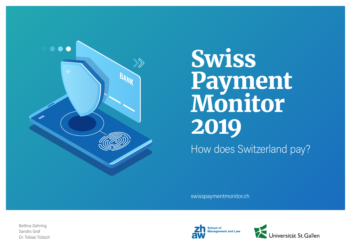

# Swiss Payment Monitor 2019 How does Switzerland pay?

[swisspaymentmonitor.ch](https://swisspaymentmonitor.ch/) 

Bettina Gehring Sandro Graf Dr. Tobias Trütsch



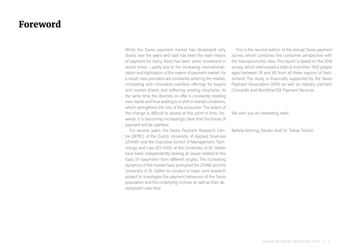## Foreword

While the Swiss payment market has developed only slowly over the years and cash has been the main means of payment for many, there has been some movement in recent times – partly due to the increasing internationalization and digitization of the means of payment market. As a result, new providers are constantly entering the market, competing with innovative cashless offerings for buyers and market shares and softening existing structures. At the same time, the diversity on offer is constantly creating new needs and thus leading to a shift in market conditions, which strengthens the role of the consumer. The extent of the change is difficult to assess at this point in time. However, it is becoming increasingly clear that the future of payment will be cashless.

For several years, the Swiss Payment Research Centre (SPRC) of the Zurich University of Applied Sciences (ZHAW) and the Executive School of Management, Technology and Law (ES-HSG) at the University of St. Gallen have been independently looking at issues related to the topic of «payment» from different angles. The increasing dynamics of the market have prompted the ZHAW and the University of St. Gallen to conduct a major joint research project to investigate the payment behaviour of the Swiss population and the underlying motives as well as their development over time.

This is the second edition of the annual Swiss payment survey, which combines the consumer perspective with the macroeconomic view. This report is based on the 2018 survey, which interviewed a total of more than 1000 people aged between 18 and 65 from all three regions of Switzerland. The study is financially supported by the Swiss Payment Association (SPA) as well as industry partners Concardis and Worldline/SIX Payment Services.

We wish you an interesting read!

Bettina Gehring, Sandro Graf, Dr. Tobias Trütsch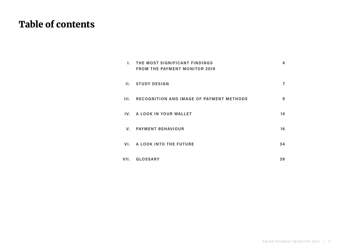## Table of contents

| L.           | THE MOST SIGNIFICANT FINDINGS<br><b>FROM THE PAYMENT MONITOR 2019</b> | 4  |
|--------------|-----------------------------------------------------------------------|----|
| Н.           | <b>STUDY DESIGN</b>                                                   | 7  |
| III.         | <b>RECOGNITION AND IMAGE OF PAYMENT METHODS</b>                       | 9  |
|              | IV. A LOOK IN YOUR WALLET                                             | 14 |
| $V_{\rm{r}}$ | <b>PAYMENT BEHAVIOUR</b>                                              | 16 |
|              | VI. A LOOK INTO THE FUTURE                                            | 34 |
| VII.         | <b>GLOSSARY</b>                                                       | 39 |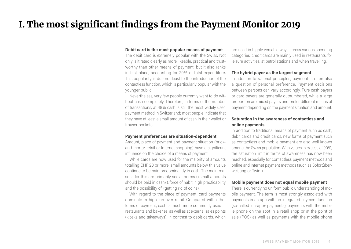## <span id="page-3-0"></span>I. The most significant findings from the Payment Monitor 2019

## **Debit card is the most popular means of payment**

The debit card is extremely popular with the Swiss. Not only is it rated clearly as more likeable, practical and trustworthy than other means of payment, but it also ranks in first place, accounting for 29% of total expenditure. This popularity is due not least to the introduction of the contactless function, which is particularly popular with the younger public.

Nevertheless, very few people currently want to do without cash completely. Therefore, in terms of the number of transactions, at 48% cash is still the most widely used payment method in Switzerland; most people indicate that they have at least a small amount of cash in their wallet or trouser pockets.

## **Payment preferences are situation-dependent**

Amount, place of payment and payment situation (brickand-mortar retail or Internet shopping) have a significant influence on the choice of a means of payment.

While cards are now used for the majority of amounts totalling CHF 20 or more, small amounts below this value continue to be paid predominantly in cash. The main reasons for this are primarily social norms («small amounts should be paid in cash»), force of habit, high practicability and the possibility of «getting rid of coins».

With regard to the place of payment, card payments dominate in high-turnover retail. Compared with other forms of payment, cash is much more commonly used in restaurants and bakeries, as well as at external sales points (kiosks and takeaways). In contrast to debit cards, which

are used in highly versatile ways across various spending categories, credit cards are mainly used in restaurants, for leisure activities, at petrol stations and when travelling.

## **The hybrid payer as the largest segment**

In addition to rational principles, payment is often also a question of personal preference. Payment decisions between persons can vary accordingly. Pure cash payers or card payers are generally outnumbered, while a large proportion are mixed payers and prefer different means of payment depending on the payment situation and amount.

## **Saturation in the awareness of contactless and online payments**

In addition to traditional means of payment such as cash, debit cards and credit cards, new forms of payment such as contactless and mobile payment are also well known among the Swiss population. With values in excess of 90%, the saturation limit in terms of awareness has now been reached, especially for contactless payment methods and online and Internet payment methods (such as Sofortüberweisung or Twint).

## **Mobile payment does not equal mobile payment**

There is currently no uniform public understanding of mobile payment. The term is most strongly associated with payments in an app with an integrated payment function (so-called «in-app» payments), payments with the mobile phone on the spot in a retail shop or at the point of sale (POS) as well as payments with the mobile phone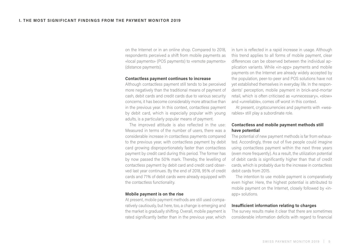on the Internet or in an online shop. Compared to 2018, respondents perceived a shift from mobile payments as «local payments» (POS payments) to «remote payments» (distance payments).

## **Contactless payment continues to increase**

Although contactless payment still tends to be perceived more negatively than the traditional means of payment of cash, debit cards and credit cards due to various security concerns, it has become considerably more attractive than in the previous year. In this context, contactless payment by debit card, which is especially popular with young adults, is a particularly popular means of payment.

The improved attitude is also reflected in the use: Measured in terms of the number of users, there was a considerable increase in contactless payments compared to the previous year, with contactless payment by debit card growing disproportionately faster than contactless payment by credit card during this period. The former has by now passed the 50% mark. Thereby, the levelling of contactless payment by debit card and credit card observed last year continues. By the end of 2018, 95% of credit cards and 71% of debit cards were already equipped with the contactless functionality.

## **Mobile payment is on the rise**

At present, mobile payment methods are still used comparatively cautiously, but here, too, a change is emerging and the market is gradually shifting. Overall, mobile payment is rated significantly better than in the previous year, which in turn is reflected in a rapid increase in usage. Although this trend applies to all forms of mobile payment, clear differences can be observed between the individual application variants. While «in-app» payments and mobile payments on the Internet are already widely accepted by the population, peer-to-peer and POS solutions have not yet established themselves in everyday life. In the respondents' perception, mobile payment in brick-and-mortar retail, which is often criticised as «unnecessary», «slow» and «unreliable», comes off worst in this context.

At present, cryptocurrencies and payments with «wearables» still play a subordinate role.

## **Contactless and mobile payment methods still have potential**

The potential of new payment methods is far from exhausted. Accordingly, three out of five people could imagine using contactless payment within the next three years (even more frequently). As a result, the utilization potential of debit cards is significantly higher than that of credit cards, which is probably due to the increase in contactless debit cards from 2015.

The intention to use mobile payment is comparatively even higher. Here, the highest potential is attributed to mobile payment on the Internet, closely followed by «inapp» solutions.

## **Insufficient information relating to charges**

The survey results make it clear that there are sometimes considerable information deficits with regard to financial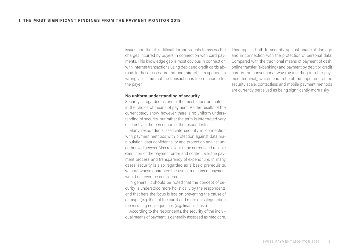issues and that it is difficult for individuals to assess the charges incurred by buyers in connection with card payments. This knowledge gap is most obvious in connection with Internet transactions using debit and credit cards abroad. In these cases, around one third of all respondents wrongly assume that the transaction is free of charge for the payer.

## **No uniform understanding of security**

Security is regarded as one of the most important criteria in the choice of means of payment. As the results of the current study show, however, there is no uniform understanding of security, but rather the term is interpreted very differently in the perception of the respondents.

Many respondents associate security in connection with payment methods with protection against data manipulation, data confidentiality and protection against unauthorized access. Also relevant is the correct and reliable execution of the payment order and control over the payment process and transparency of expenditure. In many cases, security is also regarded as a basic prerequisite, without whose guarantee the use of a means of payment would not even be considered.

In general, it should be noted that the concept of security is understood more holistically by the respondents and that here the focus is less on preventing the cause of damage (e.g. theft of the card) and more on safeguarding the resulting consequences (e.g. financial loss).

According to the respondents, the security of the individual means of payment is generally assessed as mediocre. This applies both to security against financial damage and in connection with the protection of personal data. Compared with the traditional means of payment of cash, online transfer (e-banking) and payment by debit or credit card in the conventional way (by inserting into the payment terminal), which tend to be at the upper end of the security scale, contactless and mobile payment methods are currently perceived as being significantly more risky.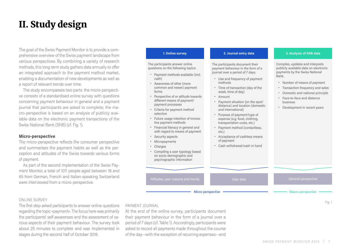## <span id="page-6-0"></span>II. Study design

The goal of the Swiss Payment Monitor is to provide a comprehensive overview of the Swiss payment landscape from various perspectives. By combining a variety of research methods, this long-term study gathers data annually to offer an integrated approach to the payment method market, enabling a documentation of new developments as well as a report of relevant trends over time.

The study encompasses two parts: the micro-perspective consists of a standardised online survey with questions concerning payment behaviour in general and a payment journal that participants are asked to complete; the macro-perspective is based on an analysis of publicly available data on the electronic payment transactions of the Swiss National Bank (SNB) (cf. Fig. 1).

## **Micro-perspective**

The micro-perspective reflects the consumer perspective and summarises the payment habits as well as the perception and attitudes of the Swiss towards various forms of payment.

As part of the second implementation of the Swiss Payment Monitor, a total of 1011 people aged between 18 and 65 from German, French and Italian-speaking Switzerland were interviewed from a micro-perspective.

## ONLINE SURVEY

The first step asked participants to answer online questions regarding the topic «payment». The focus here was primarily the participants' self-awareness and the assessment of various aspects of their payment behaviour. The survey took about 25 minutes to complete and was implemented in stages during the second half of October 2018.

The participants answer online questions on the following topics:

- **̟** Payment methods available (incl. cash)
- **̟** Awareness of other (more common and newer) payment forms
- **̟** Perspective of or attitude towards different means of payment/ payment processes
- **̟** Criteria for payment method selection
- **̟** Future usage intention of innovative payment methods
- **̟** Financial literacy in general and with regard to means of payment
- **̟** Security aspects
- **̟** Micropayments
- **̟** Charges
- **̟** Compiling a user typology based on socio-demographic and psychographic information

The participants document their payment behaviour in the form of a journal over a period of 7 days.

- **̟** Use and frequency of payment methods
- **̟** Time of transaction (day of the week, time of day)
- **̟** Amount
- **̟** Payment situation (on the spot/ distance) and location (domestic and international)
- **̟** Purpose of payment/type of expense (e.g. food, clothing, transportation costs, etc.)
- **̟** Payment method (contactless, etc.)
- **̟** Acceptance of cashless means of payment
- **̟** Cash withdrawal/cash in hand

Attitudes, user reasons and trends User User data General perspective under the General perspective

Micro-perspective **- Construction** Macro-perspective

## **1. Online survey 2. Journal entry data 3. Analysis of SNB data**

Compiles, updates and interprets publicly available data on electronic payments by the Swiss National Bank.

- **̟** Number of means of payment
- **̟** Transaction frequency and sales
- **̟** Domestic and national principle
- **̟** Face-to-face and distance business
- **̟** Development in recent years

## PAYMENT IOURNAL

At the end of the online survey, participants document their payment behaviour in the form of a journal over a period of 7 days (cf. Table 1). Accordingly, participants were asked to record all payments made throughout the course of the day—with the exception of recurring expenses—and

Fig. 1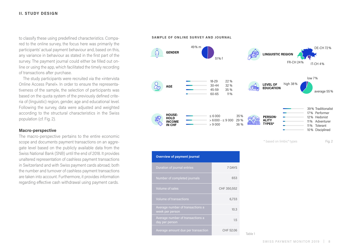to classify these using predefined characteristics. Compared to the online survey, the focus here was primarily the participants' actual payment behaviour and, based on this, any variance in behaviour as stated in the first part of the survey. The payment journal could either be filled out online or using the app, which facilitated the timely recording of transactions after purchase.

The study participants were recruited via the «intervista Online Access Panel». In order to ensure the representativeness of the sample, the selection of participants was based on the quota system of the previously defined criteria of (linguistic) region, gender, age and educational level. Following the survey, data were adjusted and weighted according to the structural characteristics in the Swiss population (cf. Fig. 2).

## **Macro-perspective**

The macro-perspective pertains to the entire economic scope and documents payment transactions on an aggregate level based on the publicly available data from the Swiss National Bank (SNB) until the end of 2018. It provides unaltered representation of cashless payment transactions in Switzerland and with Swiss payment cards abroad; both the number and turnover of cashless payment transactions are taken into account. Furthermore, it provides information regarding effective cash withdrawal using payment cards.

**SAMPLE OF ONLINE SURVEY AND JOURNAL**





Table 1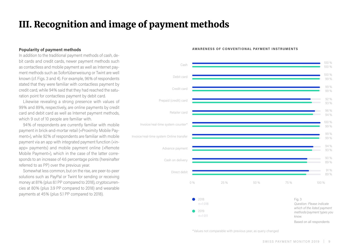## <span id="page-8-0"></span>III. Recognition and image of payment methods

## **Popularity of payment methods**

In addition to the traditional payment methods of cash, debit cards and credit cards, newer payment methods such as contactless and mobile payment as well as Internet payment methods such as Sofortüberweisung or Twint are well known (cf. Figs. 3 and 4). For example, 96% of respondents stated that they were familiar with contactless payment by credit card, while 94% said that they had reached the saturation point for contactless payment by debit card.

Likewise revealing a strong presence with values of 99% and 89%, respectively, are online payments by credit card and debit card as well as Internet payment methods, which 9 out of 10 people are familiar with.

94% of respondents are currently familiar with mobile payment in brick-and-mortar retail («Proximity Mobile Payment»), while 92% of respondents are familiar with mobile payment via an app with integrated payment function («inapp» payments) and mobile payment online («Remote Mobile Payment»), which in the case of the latter corresponds to an increase of 4.6 percentage points (hereinafter referred to as PP) over the previous year.

Somewhat less common, but on the rise, are peer-to-peer solutions such as PayPal or Twint for sending or receiving money at 81% (plus 8.1 PP compared to 2018), cryptocurrencies at 80% (plus 3.9 PP compared to 2018) and wearable payments at 45% (plus 5.1 PP compared to 2018).

## **AWARENESS OF CONVENTIONAL PAYMENT INSTRUMENTS**



\*Values not comparable with previous year, as query changed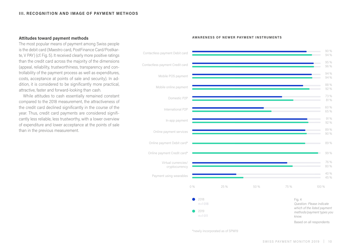## **Attitudes toward payment methods**

The most popular means of payment among Swiss people is the debit card (Maestro card, PostFinance Card/Postkarte, V PAY) (cf. Fig. 5). It received clearly more positive ratings than the credit card across the majority of the dimensions (appeal, reliability, trustworthiness, transparency and controllability of the payment process as well as expenditures, costs, acceptance at points of sale and security). In addition, it is considered to be significantly more practical, attractive, faster and forward-looking than cash.

While attitudes to cash essentially remained constant compared to the 2018 measurement, the attractiveness of the credit card declined significantly in the course of the year. Thus, credit card payments are considered significantly less reliable, less trustworthy, with a lower overview of expenditure and lower acceptance at the points of sale than in the previous measurement.



### **AWARENESS OF NEWER PAYMENT INSTRUMENTS**

\*newly incorporated as of SPM19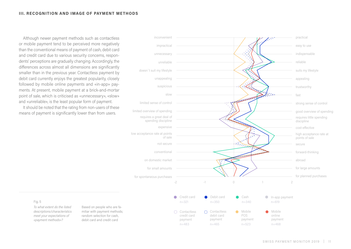## **III. RECOGNITION AND IMAGE OF PAYMENT METHODS**

Although newer payment methods such as contactless or mobile payment tend to be perceived more negatively than the conventional means of payment of cash, debit card and credit card due to various security concerns, respondents' perceptions are gradually changing. Accordingly, the differences across almost all dimensions are significantly smaller than in the previous year. Contactless payment by debit card currently enjoys the greatest popularity, closely followed by mobile online payments and «in-app» payments. At present, mobile payment at a brick-and-mortar point of sale, which is criticised as «unnecessary», «slow» and «unreliable», is the least popular form of payment.

It should be noted that the rating from non-users of these means of payment is significantly lower than from users.



## Fig. 5

*To what extent do the listed descriptions/characteristics meet your expectations of «payment methods»?* 

Based on people who are familiar with payment methods; random selection for cash, debit card and credit card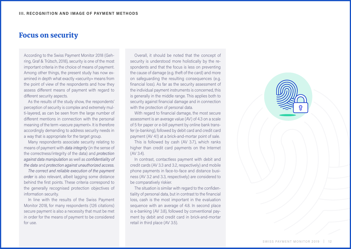## Focus on security

According to the Swiss Payment Monitor 2018 (Gehring, Graf & Trütsch, 2018), security is one of the most important criteria in the choice of means of payment. Among other things, the present study has now examined in depth what exactly «security» means from the point of view of the respondents and how they assess different means of payment with regard to different security aspects.

As the results of the study show, the respondents' perception of security is complex and extremely multi-layered, as can be seen from the large number of different mentions in connection with the personal meaning of the term «secure payment». It is therefore accordingly demanding to address security needs in a way that is appropriate for the target group.

Many respondents associate security relating to means of payment with *data integrity* (in the sense of the correctness/integrity of the data) and *protection against data manipulation* as well as *confidentiality of the data* and *protection against unauthorized access.*

*The correct and reliable execution of the payment order* is also relevant, albeit lagging some distance behind the first points. These criteria correspond to the generally recognised protection objectives of information security.

In line with the results of the Swiss Payment Monitor 2018, for many respondents (126 citations) secure payment is also a necessity that must be met in order for the means of payment to be considered for use.

Overall, it should be noted that the concept of security is understood more holistically by the respondents and that the focus is less on preventing the cause of damage (e.g. theft of the card) and more on safeguarding the resulting consequences (e.g. financial loss). As far as the security assessment of the individual payment instruments is concerned, this is generally in the middle range. This applies both to security against financial damage and in connection with the protection of personal data.

With regard to financial damage, the most secure assessment is an average value (AV) of 4.3 on a scale of 5 for paper or e-bill payment by online bank transfer (e-banking), followed by debit card and credit card payment (AV 4.1) at a brick-and-mortar point of sale.

This is followed by cash (AV 3.7), which ranks higher than credit card payments on the Internet (AV 3.4).

In contrast, contactless payment with debit and credit cards (AV 3.3 and 3.2, respectively) and mobile phone payments in face-to-face and distance business (AV 3.2 and 3.3, respectively) are considered to be comparatively riskier.

The situation is similar with regard to the confidentiality of personal data, but in contrast to the financial loss, cash is the most important in the evaluation sequence with an average of 4.8. In second place is e-banking (AV 3.8), followed by conventional payment by debit and credit card in brick-and-mortar retail in third place (AV 3.5).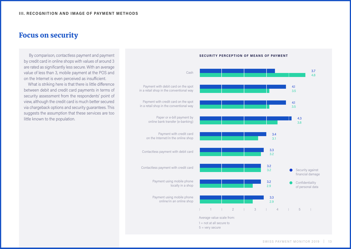## Focus on security

 By comparison, contactless payment and payment by credit card in online shops with values of around 3 are rated as significantly less secure. With an average value of less than 3, mobile payment at the POS and on the Internet is even perceived as insufficient.

What is striking here is that there is little difference between debit and credit card payments in terms of security assessment from the respondents' point of view, although the credit card is much better secured via chargeback options and security guarantees. This suggests the assumption that these services are too little known to the population.

Cash Payment with debit card on the spot in a retail shop in the conventional way Payment with credit card on the spot in a retail shop in the conventional way Paper or e-bill payment by online bank transfer (e-banking) Payment with credit card on the Internet/in the online shop Contactless payment with debit card Contactless payment with credit card Payment using mobile phone locally in a shop Payment using mobile phone online/in an online shop 2 | 3 | 4 | 5 Security against financial damage **Confidentiality** of personal data 2.9 3.2 3.1 3.5 2.9 3.2 3.8 3.5 4.8 3.3 3.2 3.4 4.1 3.2 3.3 4.3 4.1 3.7 Average value scale from:  $1 = not$  at all secure to

 $5 =$  very secure

### **SECURITY PERCEPTION OF MEANS OF PAYMENT**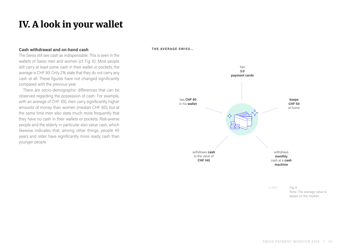## <span id="page-13-0"></span>IV. A look in your wallet

## **Cash withdrawal and on-hand cash**

The Swiss still see cash as indispensable. This is seen in the wallets of Swiss men and women (cf. Fig. 6): Most people still carry at least some cash in their wallet or pockets, the average is CHF 80. Only 2% state that they do not carry any cash at all. These figures have not changed significantly compared with the previous year.

There are socio-demographic differences that can be observed regarding the possession of cash: For example, with an average of CHF 100, men carry significantly higher amounts of money than women (median CHF 60), but at the same time men also state much more frequently that they have no cash in their wallets or pockets. Risk-averse people and the elderly in particular also value cash, which likewise indicates that, among other things, people 45 years and older have significantly more ready cash than younger people.

**THE AVERAGE SWISS...**

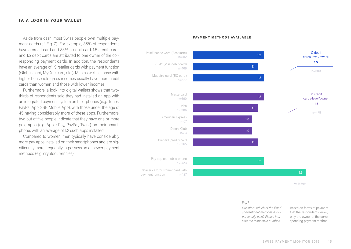## **IV. A LOOK IN YOUR WALLET**

Aside from cash, most Swiss people own multiple payment cards (cf. Fig. 7). For example, 85% of respondents have a credit card and 83% a debit card. 1.5 credit cards and 1.5 debit cards are attributed to one owner of the corresponding payment cards. In addition, the respondents have an average of 1.9 retailer cards with payment function (Globus card, MyOne card, etc.). Men as well as those with higher household gross incomes usually have more credit cards than women and those with lower incomes.

Furthermore, a look into digital wallets shows that twothirds of respondents said they had installed an app with an integrated payment system on their phones (e.g. iTunes, PayPal App, SBB Mobile App), with those under the age of 45 having considerably more of these apps. Furthermore, two out of five people indicate that they have one or more paid apps (e.g. Apple Pay, PayPal, Twint) on their smartphone, with an average of 1.2 such apps installed.

Compared to women, men typically have considerably more pay apps installed on their smartphones and are significantly more frequently in possession of newer payment methods (e.g. cryptocurrencies).

### **PAYMENT METHODS AVAILABLE**



Average

## Fig. 7

*Question: Which of the listed conventional methods do you personally own? Please indicate the respective number.*

Based on forms of payment that the respondents know; only the owner of the corresponding payment method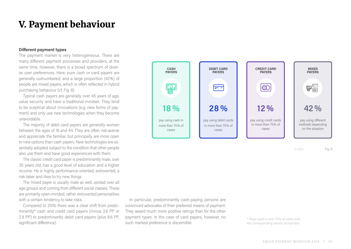## <span id="page-15-0"></span>V. Payment behaviour

## **Different payment types**

The payment market is very heterogeneous. There are many different payment processes and providers, at the same time, however, there is a broad spectrum of diverse user preferences. Here, pure cash or card payers are generally outnumbered, and a large proportion (42%) of people are mixed payers, which is often reflected in hybrid purchasing behaviour (cf. Fig. 8).

Typical cash payers are generally over 45 years of age, value security and have a traditional mindset. They tend to be sceptical about innovations (e.g. new forms of payment) and only use new technologies when they become unavoidable.

The majority of debit card payers are generally women between the ages of 18 and 44. They are often risk-averse and appreciate the familiar, but principally are more open to new options than cash payers. New technologies are essentially adopted subject to the condition that other people also use them and have good experiences with them.

The classic credit card payer is predominantly male, over 30 years old, has a good level of education and a higher income. He is highly performance-oriented, extroverted, a risk-taker and likes to try new things.

The mixed payer is usually male as well, spread over all age groups and coming from different social classes. These are primarily open-minded, rather extroverted personalities with a certain tendency to take risks.

Compared to 2018, there was a clear shift from predominantly\* cash and credit card payers (minus 3.8 PP or 2.9 PP) to predominantly debit card payers (plus 8.6 PP, significant difference).



n=653 Fig. 8

In particular, predominantly cash-paying persons are convinced advocates of their preferred means of payment. They award much more positive ratings than for the other payment types. In the case of card payers, however, no such marked preference is discernible.

\* Payer paid in over 75% of cases with the corresponding means of payment.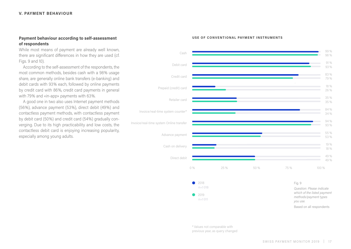## **Payment behaviour according to self-assessment of respondents**

While most means of payment are already well known, there are significant differences in how they are used (cf. Figs. 9 and 10).

According to the self-assessment of the respondents, the most common methods, besides cash with a 98% usage share, are generally online bank transfers (e-banking) and debit cards with 93% each, followed by online payments by credit card with 86%, credit card payments in general with 79% and «in-app» payments with 63%.

A good one in two also uses Internet payment methods (56%), advance payment (53%), direct debit (49%) and contactless payment methods, with contactless payment by debit card (50%) and credit card (54%) gradually converging. Due to its high practicability and low costs, the contactless debit card is enjoying increasing popularity, especially among young adults.



### **USE OF CONVENTIONAL PAYMENT INSTRUMENTS**

\* Values not comparable with previous year, as query changed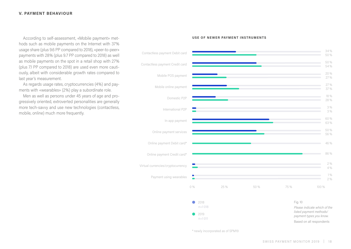## **V. PAYMENT BEHAVIOUR**

According to self-assessment, «Mobile payment» met-<br>**According to self-assessment, «Mobile payment» met- USE OF NEWER PAYMENT INSTRUMENTS** hods such as mobile payments on the Internet with 37% usage share (plus 9.6 PP compared to 2018), «peer-to-peer» payments with 28% (plus 9.7 PP compared to 2018) as well as mobile payments on the spot in a retail shop with 27% (plus 7.1 PP compared to 2018) are used even more cautiously, albeit with considerable growth rates compared to last year's measurement.

As regards usage rates, cryptocurrencies (4%) and payments with «wearables» (2%) play a subordinate role.

Men as well as persons under 45 years of age and progressively oriented, extroverted personalities are generally more tech-savvy and use new technologies (contactless, mobile, online) much more frequently.



\* newly incorporated as of SPM19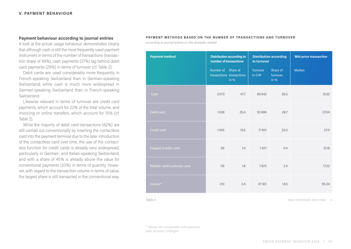## **Payment behaviour according to journal entries**

A look at the actual usage behaviour demonstrates clearly that although cash is still the most frequently used payment instrument in terms of the number of transactions (transaction share of 48%), cash payments (27%) lag behind debit card payments (29%) in terms of turnover (cf. Table 2).

Debit cards are used considerably more frequently in French-speaking Switzerland than in German-speaking Switzerland, while cash is much more widespread in German-speaking Switzerland than in French-speaking Switzerland.

Likewise relevant in terms of turnover are credit card payments, which account for 22% of the total volume, and invoicing or online transfers, which account for 15% (cf. Table 2).

While the majority of debit card transactions (62%) are still carried out conventionally by inserting the contactless card into the payment terminal due to the later introduction of the contactless card over time, the use of the contactless function for credit cards is already very widespread, particularly in German- and Italian-speaking Switzerland, and with a share of 45% is already above the value for conventional payments (33%) in terms of quantity. However, with regard to the transaction volume in terms of value, the largest share is still transacted in the conventional way.

## **PAYMENT METHODS BASED ON THE NUMBER OF TRANSACTIONS AND TURNOVER**

*according to journal entries on the domestic market*

| <b>Payment method</b>       | <b>Distribution according to</b><br>number of transactions |                                     | <b>Distribution according</b><br>to turnover |                                | <b>Mid-price transaction</b> |
|-----------------------------|------------------------------------------------------------|-------------------------------------|----------------------------------------------|--------------------------------|------------------------------|
|                             | Number of Share of                                         | transactions transactions<br>in $%$ | Turnover<br>in CHF                           | Share of<br>turnover<br>in $%$ | <b>Median</b>                |
| Cash                        | 3073                                                       | 47.7                                | 86842                                        | 26.5                           | 10.52                        |
| Debit card                  | 1638                                                       | 25.4                                | 93896                                        | 28.7                           | 27.04                        |
| Credit card                 | 1005                                                       | 15.6                                | 71801                                        | 22.0                           | 27.11                        |
| Prepaid (credit) card       | 66                                                         | 1.0                                 | 1427                                         | 0.4                            | 12.16                        |
| Retailer card/customer card | 116                                                        | 1.8                                 | 7872                                         | 2.4                            | 17.22                        |
| Invoice*                    | 210                                                        | 3.3                                 | 47301                                        | 14.5                           | 95,34                        |

Table 2 TABLE CONTINUED: NEXT PAGE **→**

\* Values not comparable with previous year, as query changed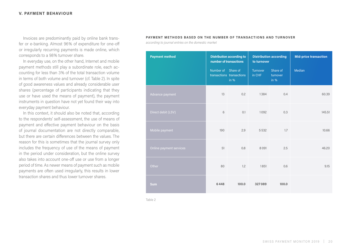## **V. PAYMENT BEHAVIOUR**

Invoices are predominantly paid by online bank transfer or e-banking. Almost 96% of expenditure for one-off or irregularly recurring payments is made online, which corresponds to a 98% turnover share.

In everyday use, on the other hand, Internet and mobile payment methods still play a subordinate role, each accounting for less than 3% of the total transaction volume in terms of both volume and turnover (cf. Table 2). In spite of good awareness values and already considerable user shares (percentage of participants indicating that they use or have used the means of payment), the payment instruments in question have not yet found their way into everyday payment behaviour.

In this context, it should also be noted that, according to the respondents' self-assessment, the use of means of payment and effective payment behaviour on the basis of journal documentation are not directly comparable, but there are certain differences between the values. The reason for this is sometimes that the journal survey only includes the frequency of use of the means of payment in the period under consideration, but the online survey also takes into account one-off use or use from a longer period of time. As newer means of payment such as mobile payments are often used irregularly, this results in lower transaction shares and thus lower turnover shares.

## **PAYMENT METHODS BASED ON THE NUMBER OF TRANSACTIONS AND TURNOVER**

*according to journal entries on the domestic market*

| <b>Payment method</b>   | <b>Distribution according to</b><br>number of transactions |                                     | <b>Distribution according</b><br>to turnover |                                | <b>Mid-price transaction</b> |  |
|-------------------------|------------------------------------------------------------|-------------------------------------|----------------------------------------------|--------------------------------|------------------------------|--|
|                         | Number of Share of                                         | transactions transactions<br>in $%$ | Turnover<br>in CHF                           | Share of<br>turnover<br>in $%$ | Median                       |  |
| Advance payment         | 13                                                         | 0.2                                 | 1384                                         | 0.4                            | 60.39                        |  |
| Direct debit (LSV)      | 6                                                          | 0.1                                 | 1092                                         | 0.3                            | 145.51                       |  |
| Mobile payment          | 190                                                        | 2.9                                 | 5532                                         | 1.7                            | 10.66                        |  |
| Online payment services | 51                                                         | 0.8                                 | 8091                                         | 2.5                            | 46.20                        |  |
| Other                   | 80                                                         | 1.2                                 | 1851                                         | 0.6                            | 9.15                         |  |
| <b>Sum</b>              | 6448                                                       | 100.0                               | 327089                                       | 100.0                          |                              |  |

Table 2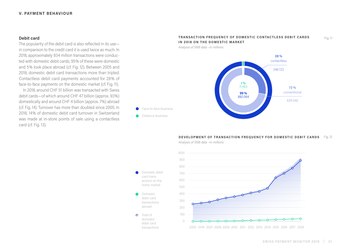## **V. PAYMENT BEHAVIOUR**

## **Debit card**

The popularity of the debit card is also reflected in its use in comparison to the credit card it is used twice as much. In 2018, approximately 934 million transactions were conducted with domestic debit cards; 95% of these were domestic and 5% took place abroad (cf. Fig. 12). Between 2005 and 2018, domestic debit card transactions more than tripled. Contactless debit card payments accounted for 28% of face-to-face payments on the domestic market (cf. Fig. 11).

In 2018, around CHF 51 billion was transacted with Swiss debit cards—of which around CHF 47 billion (approx. 93%) domestically and around CHF 4 billion (approx. 7%) abroad (cf. Fig. 14). Turnover has more than doubled since 2005. In 2018, 14% of domestic debit card turnover in Switzerland was made at in-store points of sale using a contactless card (cf. Fig. 13).

## **TRANSACTION FREQUENCY OF DOMESTIC CONTACTLESS DEBIT CARDS IN 2018 ON THE DOMESTIC MARKET**

*Analysis of SNB data –in millions*



## **DEVELOPMENT OF TRANSACTION FREQUENCY FOR DOMESTIC DEBIT CARDS** Fig. 12

*Analysis of SNB data –in millions*

card transactions on the home market

 $\bullet$ 

Domestic debit card transactions abroad

Total of domestic debit card transactions

۰



Fig. 11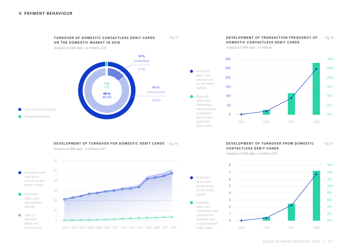▲

**TURNOVER OF DOMESTIC CONTACTLESS DEBIT CARDS ON THE DOMESTIC MARKET IN 2018**

Fig. 13

market

 $\bullet$ 

Domestic debit card

market

Domestic

*Analysis of SNB data – in millions CHF*



## **DEVELOPMENT OF TURNOVER FOR DOMESTIC DEBIT CARDS** Fig. 14



*Analysis of SNB data - in billions CHF*

### **DEVELOPMENT OF TRANSACTION FREQUENCY OF DOMESTIC CONTACTLESS DEBIT CARDS** Fig. 15

*Analysis of SNB data – in millions*



### **DEVELOPMENT OF TURNOVER FROM DOMESTIC CONTACTLESS DEBIT CARDS** Fig. 16

*Analysis of SNB data - in billions CHF* 

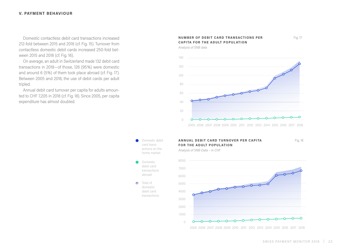## **V. PAYMENT BEHAVIOUR**

Domestic contactless debit card transactions increased 212-fold between 2015 and 2018 (cf. Fig. 15). Turnover from contactless domestic debit cards increased 250-fold between 2015 and 2018 (cf. Fig. 16).

On average, an adult in Switzerland made 132 debit card transactions in 2018—of those, 126 (95%) were domestic and around 6 (5%) of them took place abroad (cf. Fig. 17). Between 2005 and 2018, the use of debit cards per adult tripled.

Annual debit card turnover per capita for adults amounted to CHF 7,205 in 2018 (cf. Fig. 18). Since 2005, per capita expenditure has almost doubled.

## **NUMBER OF DEBIT CARD TRANSACTIONS PER CAPITA FOR THE ADULT POPUL ATION**

*Analysis of SNB data*





Domestic debit card transactions abroad Total of domestic debit card transactions

●

۸

## **ANNUAL DEBIT CARD TURNOVER PER CAPITA FOR THE ADULT POPUL ATION**

Fig. 18

Fig. 17

*Analysis of SNB-Data – in CHF* 



2005 2006 2007 2008 2009 2010 2011 2012 2013 2014 2015 2016 2017 2018

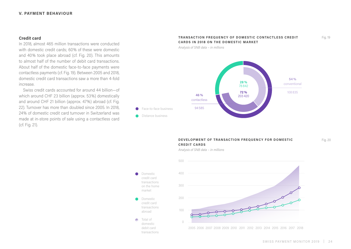## **V. PAYMENT BEHAVIOUR**

## **Credit card**

In 2018, almost 465 million transactions were conducted with domestic credit cards; 60% of these were domestic and 40% took place abroad (cf. Fig. 20). This amounts to almost half of the number of debit card transactions. About half of the domestic face-to-face payments were contactless payments (cf. Fig. 19). Between 2005 and 2018, domestic credit card transactions saw a more than 4-fold increase.

Swiss credit cards accounted for around 44 billion—of which around CHF 23 billion (approx. 53%) domestically and around CHF 21 billion (approx. 47%) abroad (cf. Fig. 22). Turnover has more than doubled since 2005. In 2018, 24% of domestic credit card turnover in Switzerland was made at in-store points of sale using a contactless card (cf. Fig. 21).

## **TRANSACTION FREQUENCY OF DOMESTIC CONTACTLESS CREDIT CARDS IN 2018 ON THE DOMESTIC MARKET**

*Analysis of SNB data – in millions*



## **DEVELOPMENT OF TRANSACTION FREQUENCY FOR DOMESTIC CREDIT CARDS**

*Analysis of SNB data – in millions*

400

500

Domestic credit card transactions on the home market Domestic credit card transactions abroad Total of ÷ domestic

> debit card transactions



2005 2006 2007 2008 2009 2010 2011 2012 2013 2014 2015 2016 2017 2018

Fig. 20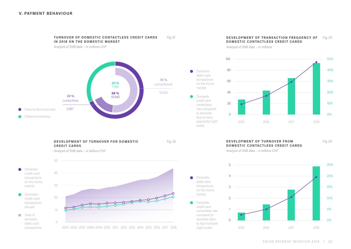

**TURNOVER OF DOMESTIC CONTACTLESS CREDIT CARDS** 

**DEVELOPMENT OF TURNOVER FOR DOMESTIC CREDIT CARDS**

scale)

 $\bullet$ 

Domestic credit card contactless rate compared to domestic faceto-face turnover (right scale)

debit card transactions on the home market

Fig. 21

*Analysis of SNB data – in billions CHF*



## **DEVELOPMENT OF TRANSACTION FREQUENCY OF** Fig. 23 **DOMESTIC CONTACTLESS CREDIT CARDS**

*Analysis of SNB data – in millions*



## Fig. 22 **DEVELOPMENT OF TURNOVER FROM DOMESTIC CONTACTLESS CREDIT CARDS**

Fig. 24

*Analysis of SNB data – in billions CHF* 

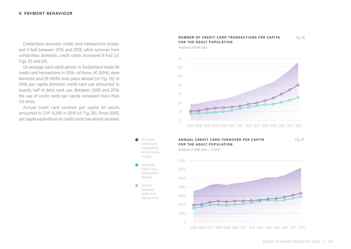## **V. PAYMENT BEHAVIOUR**

Contactless domestic credit card transactions increased 5-fold between 2015 and 2018, while turnover from contactless domestic credit cards increased 8-fold (cf. Figs. 23 and 24).

On average, each adult person in Switzerland made 66 credit card transactions in 2018—of those, 40 (60%) were domestic and 26 (40%) took place abroad (cf. Fig. 25). In 2018, per capita domestic credit card use amounted to exactly half of debit card use. Between 2005 and 2018, the use of credit cards per capita increased more than 3.5 times.

Annual credit card turnover per capita for adults amounted to CHF 6,205 in 2018 (cf. Fig. 26). Since 2005, per capita expenditure on credit cards has almost doubled.

### **NUMBER OF CREDIT CARD TRANSACTIONS PER CAPITA FOR THE ADULT POPUL ATION** Fig. 25

*Analysis of SNB data*



2005 2006 2007 2008 2009 2010 2011 2012 2013 2014 2015 2016 2017 2018



credit card transactions abroad

Total of domestic debit card transactions

Ä

## **ANNUAL CREDIT CARD TURNOVER PER CAPITA FOR THE ADULT POPUL ATION**

*Analysis of SNB data – in CHF*



Fig. 26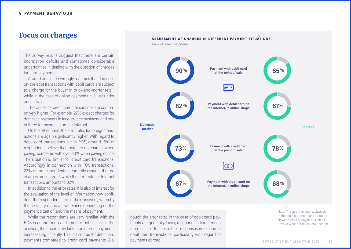## Focus on charges

The survey results suggest that there are certain information deficits and sometimes considerable uncertainties in dealing with the question of charges for card payments.

Around one in ten wrongly assumes that domestic on-the-spot transactions with debit cards are subject to a charge for the buyer in brick-and-mortar retail, while in the case of online payments it is just under one in five.

The values for credit card transactions are comparatively higher: For example, 27% expect charges for domestic payments in face-to-face business, and one in three for payments on the Internet.

On the other hand, the error rates for foreign transactions are again significantly higher. With regard to debit card transactions at the POS, around 15% of respondents believe that there are no charges when paying, compared with over 33% when paying online. The situation is similar for credit card transactions. Accordingly, in connection with POS transactions, 22% of the respondents incorrectly assume that no charges are incurred, while the error rate for Internet transactions amounts to 32%.

In addition to the error rates, it is also of interest for the evaluation of the level of information how confident the respondents are in their answers, whereby the certainty of the answer varies depending on the payment situation and the means of payment.

While the respondents are very familiar with the POS scenario and can therefore better assess the answers, the uncertainty factor for Internet payments increases significantly. This is also true for debit card payments compared to credit card payments. Alt-



hough the error rates in the case of debit card payments are generally lower, respondents find it much more difficult to assess their responses in relation to debit card transactions, particularly with regard to payments abroad.

Note: The query related exclusively to the most common card products. Newer means of payment such as Revolut were not taken into account.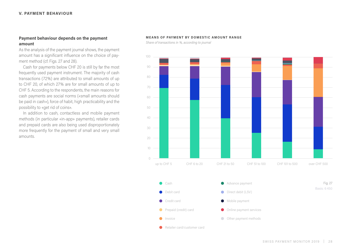## **Payment behaviour depends on the payment amount**

As the analysis of the payment journal shows, the payment amount has a significant influence on the choice of payment method (cf. Figs. 27 and 28).

Cash for payments below CHF 20 is still by far the most frequently used payment instrument. The majority of cash transactions (72%) are attributed to small amounts of up to CHF 20, of which 27% are for small amounts of up to CHF 5. According to the respondents, the main reasons for cash payments are social norms («small amounts should be paid in cash»), force of habit, high practicability and the possibility to «get rid of coins».

In addition to cash, contactless and mobile payment methods (in particular «in-app» payments), retailer cards and prepaid cards are also being used disproportionately more frequently for the payment of small and very small amounts.

## **MEANS OF PAYMENT BY DOMESTIC AMOUNT RANGE**

*Share of transactions in %, according to journal*

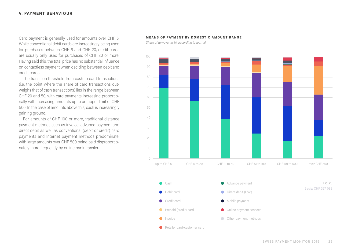## **V. PAYMENT BEHAVIOUR**

Card payment is generally used for amounts over CHF 5. While conventional debit cards are increasingly being used for purchases between CHF 6 and CHF 20, credit cards are usually only used for purchases of CHF 20 or more. Having said this, the total price has no substantial influence on contactless payment when deciding between debit and credit cards.

The transition threshold from cash to card transactions (i.e. the point where the share of card transactions outweighs that of cash transactions) lies in the range between CHF 20 and 50, with card payments increasing proportionally with increasing amounts up to an upper limit of CHF 500. In the case of amounts above this, cash is increasingly gaining ground.

For amounts of CHF 100 or more, traditional distance payment methods such as invoice, advance payment and direct debit as well as conventional (debit or credit) card payments and Internet payment methods predominate, with large amounts over CHF 500 being paid disproportionately more frequently by online bank transfer.

## **MEANS OF PAYMENT BY DOMESTIC AMOUNT RANGE**

*Share of turnover in %, according to journal*

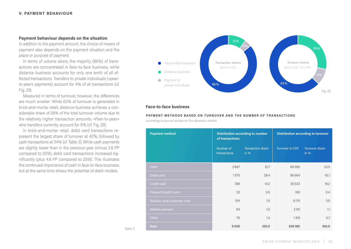## **Payment behaviour depends on the situation**

In addition to the payment amount, the choice of means of payment also depends on the payment situation and the place or purpose of payment.

In terms of volume alone, the majority (86%) of transactions are concentrated in face-to-face business, while distance business accounts for only one tenth of all effected transactions. Transfers to private individuals («peerto-peer» payments) account for 4% of all transactions (cf. Fig. 29).

Measured in terms of turnover, however, the differences are much smaller: While 63% of turnover is generated in brick-and-mortar retail, distance business achieves a considerable share of 28% of the total turnover volume due to the relatively higher transaction amounts. «Peer-to-peer» wire transfers currently account for 9% (cf. Fig. 29).

In brick-and-mortar retail, debit card transactions represent the largest share of turnover at 42%, followed by cash transactions at 34% (cf. Table 3). While cash payments are slightly lower than in the previous year (minus 2.6 PP compared to 2018), debit card transactions increased significantly (plus 4.8 PP compared to 2018). This illustrates the continued importance of cash in face-to-face business, but at the same time shows the potential of debit models.



## **Face-to-face business**

Table 3

## **PAYMENT METHODS BASED ON TURNOVER AND THE NUMBER OF TRANSACTIONS**

*according to journal entries on the domestic market*

| <b>Payment method</b>       | of transactions           | <b>Distribution according to number</b> | <b>Distribution according to turnover</b> |                               |  |
|-----------------------------|---------------------------|-----------------------------------------|-------------------------------------------|-------------------------------|--|
|                             | Number of<br>transactions | <b>Transaction share</b><br>in %        | Turnover in CHF                           | <b>Turnover share</b><br>in % |  |
| Cash                        | 2867                      | 51.7                                    | 69065                                     | 33.5                          |  |
| Debit card                  | 1575                      | 28.4                                    | 86664                                     | 42.1                          |  |
| Credit card                 | 788                       | 14.2                                    | 39533                                     | 19.2                          |  |
| Prepaid (credit) card       | 52                        | 0.9                                     | 916                                       | 0.4                           |  |
| Retailer card/customer card | 104                       | 1.9                                     | 6174                                      | 3.0                           |  |
| Mobile payment              | 84                        | 1.5                                     | 2191                                      | 1.1                           |  |
| Other                       | 75                        | 1.4                                     | 1419                                      | 0.7                           |  |
| <b>Sum</b>                  | 5545                      | 100.0                                   | 205 961                                   | 100.0                         |  |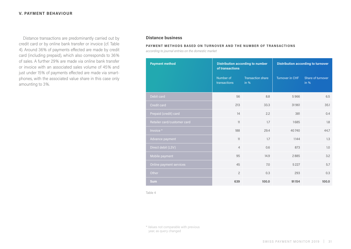Distance transactions are predominantly carried out by **Distance business** credit card or by online bank transfer or invoice (cf. Table 4). Around 36% of payments effected are made by credit card (including prepaid), which also corresponds to 36% of sales. A further 29% are made via online bank transfer or invoice with an associated sales volume of 45% and just under 15% of payments effected are made via smartphones, with the associated value share in this case only amounting to 3%.

## **PAYMENT METHODS BASED ON TURNOVER AND THE NUMBER OF TRANSACTIONS**

*according to journal entries on the domestic market*

| <b>Payment method</b>       | of transactions           | <b>Distribution according to number</b> | <b>Distribution according to turnover</b> |                           |  |
|-----------------------------|---------------------------|-----------------------------------------|-------------------------------------------|---------------------------|--|
|                             | Number of<br>transactions | <b>Transaction share</b><br>in %        | Turnover in CHF                           | Share of turnover<br>in % |  |
| Debit card                  | 56                        | 8.8                                     | 5966                                      | 6.5                       |  |
| Credit card                 | 213                       | 33.3                                    | 31961                                     | 35.1                      |  |
| Prepaid (credit) card       | 14                        | 2.2                                     | 381                                       | 0.4                       |  |
| Retailer card/customer card | 11                        | 1.7                                     | 1685                                      | 1.8                       |  |
| Invoice *                   | 188                       | 29.4                                    | 40740                                     | 44.7                      |  |
| Advance payment             | 11                        | 1.7                                     | 1144                                      | 1.3                       |  |
| Direct debit (LSV)          | $\overline{4}$            | 0.6                                     | 873                                       | 1.0                       |  |
| Mobile payment              | 95                        | 14.9                                    | 2885                                      | 3.2                       |  |
| Online payment services     | 45                        | 7.0                                     | 5 2 2 7                                   | 5.7                       |  |
| Other                       | $\overline{2}$            | 0.3                                     | 293                                       | 0.3                       |  |
| <b>Sum</b>                  | 639                       | 100.0                                   | 91154                                     | 100.0                     |  |

Table 4

\* Values not comparable with previous year, as query changed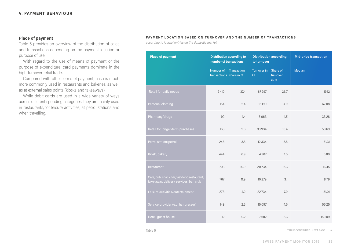## **Place of payment**

Table 5 provides an overview of the distribution of sales and transactions depending on the payment location or purpose of use.

With regard to the use of means of payment or the purpose of expenditure, card payments dominate in the high-turnover retail trade.

Compared with other forms of payment, cash is much more commonly used in restaurants and bakeries, as well as at external sales points (kiosks and takeaways).

While debit cards are used in a wide variety of ways across different spending categories, they are mainly used in restaurants, for leisure activities, at petrol stations and when travelling.

## **PAYMENT LOCATION BASED ON TURNOVER AND THE NUMBER OF TRANSACTIONS**

*according to journal entries on the domestic market*

| <b>Place of payment</b>                                                                | <b>Distribution according to</b><br>number of transactions |                       | <b>Distribution according</b><br>to turnover |                    | <b>Mid-price transaction</b> |  |
|----------------------------------------------------------------------------------------|------------------------------------------------------------|-----------------------|----------------------------------------------|--------------------|------------------------------|--|
|                                                                                        | transactions share in %                                    | Number of Transaction | Turnover in Share of<br><b>CHF</b>           | turnover<br>in $%$ | Median                       |  |
| Retail for daily needs                                                                 | 2410                                                       | 37.4                  | 87297                                        | 26.7               | 19.12                        |  |
| Personal clothing                                                                      | 154                                                        | 2.4                   | 16190                                        | 4.9                | 62,08                        |  |
| Pharmacy/drugs                                                                         | 92                                                         | 1.4                   | 5063                                         | 1.5                | 33.28                        |  |
| Retail for longer-term purchases                                                       | 166                                                        | 2.6                   | 33934                                        | 10.4               | 58.69                        |  |
| Petrol station/petrol                                                                  | 246                                                        | 3.8                   | 12334                                        | 3.8                | 51.31                        |  |
| Kiosk, bakery                                                                          | 444                                                        | 6.9                   | 4987                                         | 1.5                | 6.80                         |  |
| Restaurant                                                                             | 703                                                        | 10.9                  | 20734                                        | 6.3                | 16.45                        |  |
| Cafe, pub, snack bar, fast-food restaurant,<br>take-away, delivery services, bar, club | 767                                                        | 11.9                  | 10 279                                       | 3.1                | 8.79                         |  |
| Leisure activities/entertainment                                                       | 273                                                        | 4.2                   | 22734                                        | 7.0                | 31.01                        |  |
| Service provider (e.g. hairdresser)                                                    | 149                                                        | 2.3                   | 15 0 97                                      | 4.6                | 56.25                        |  |
| Hotel, guest house                                                                     | 12                                                         | 0.2                   | 7682                                         | 2.3                | 150.09                       |  |

Table 5 TABLE CONTINUED: NEXT PAGE **→**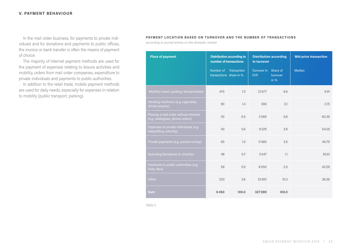## **V. PAYMENT BEHAVIOUR**

In the mail order business, for payments to private individuals and for donations and payments to public offices, the invoice or bank transfer is often the means of payment of choice.

The majority of Internet payment methods are used for the payment of expenses relating to leisure activities and mobility, orders from mail order companies, expenditure to private individuals and payments to public authorities.

In addition to the retail trade, mobile payment methods are used for daily needs, especially for expenses in relation to mobility (public transport, parking).

## **PAYMENT LOCATION BASED ON TURNOVER AND THE NUMBER OF TRANSACTIONS**

*according to journal entries on the domestic market*

| <b>Place of payment</b>                                                  | <b>Distribution according to</b><br>number of transactions |                       | <b>Distribution according</b><br>to turnover |                    | <b>Mid-price transaction</b> |  |
|--------------------------------------------------------------------------|------------------------------------------------------------|-----------------------|----------------------------------------------|--------------------|------------------------------|--|
|                                                                          | transactions share in %                                    | Number of Transaction | Turnover in Share of<br><b>CHF</b>           | turnover<br>in $%$ | Median                       |  |
| Mobility, travel, parking, transportation                                | 470                                                        | 7.3                   | 21677                                        | 6.6                | 6.91                         |  |
| Vending machines (e.g. cigarettes,<br>drinks/snacks)                     | 90                                                         | 1.4                   | 306                                          | 0.1                | 2.15                         |  |
| Placing a mail order without Internet<br>(e.g. catalogues, phone orders) | 30                                                         | 0.5                   | 2569                                         | 0.8                | 60.39                        |  |
| Expenses to private individuals (e.g.<br>babysitting, tutoring)          | 40                                                         | 0.6                   | 9229                                         | 2.8                | 54.29                        |  |
| Private payments (e.g. pocket money)                                     | 65                                                         | 1.0                   | 11580                                        | 3.5                | 40.79                        |  |
| Spending/donations to charities                                          | 48                                                         | 0.7                   | 3547                                         | 1.1                | 35.61                        |  |
| Payments to public authorities (e.g.<br>fines, fees)                     | 58                                                         | 0.9                   | 8050                                         | 2.5                | 42.09                        |  |
| Other                                                                    | 233                                                        | 3.6                   | 33 801                                       | 10.3               | 36.36                        |  |
| <b>Sum</b>                                                               | 6450                                                       | 100.0                 | 327089                                       | 100.0              |                              |  |

Table 5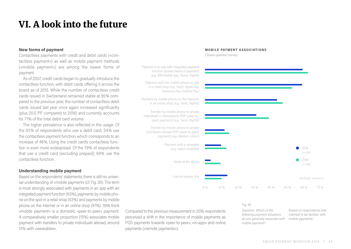## <span id="page-33-0"></span>VI. A look into the future

## **New forms of payment**

Contactless payments with credit and debit cards («contactless payment») as well as mobile payment methods («mobile payment») are among the newer forms of payment.

As of 2007, credit cards began to gradually introduce the contactless function, with debit cards offering it across the board as of 2015. While the number of contactless credit cards issued in Switzerland remained stable at 95% compared to the previous year, the number of contactless debit cards issued last year once again increased significantly (plus 20.0 PP compared to 2018) and currently accounts for 71% of the total debit card volume.

The higher prevalence is also reflected in the usage: Of the 93% of respondents who use a debit card, 54% use the contactless payment function, which corresponds to an increase of 46%. Using the credit card's contactless function is even more widespread: Of the 79% of respondents that use a credit card (excluding prepaid), 69% use the contactless function.

## **Understanding mobile payment**

Based on the respondents' statements, there is still no universal understanding of «mobile payment» (cf. Fig. 30). The term is most strongly associated with payments in an app with an integrated payment function (63%), payments by mobile phone on the spot in a retail shop (53%) and payments by mobile phone on the Internet or in an online shop (47%). 39% think «mobile payment» is a domestic «peer-to-peer» payment. A comparatively smaller proportion (15%) associates mobile payment with transfers to private individuals abroad, around 13% with «wearables».

## Payment in an app with integrated payment function (stored means of payment) *(e.g. SBB Mobile App, iTunes, PayPal)* Payment with the mobile phone on site in a retail shop *(e.g. Twint, Apple Pay, Samsung Pay, Android Pay)* Payment by mobile phone on the Internet/ in an online shop *(e.g. Twint, PayPal)* Transfer by mobile phone to private individuals in Switzerland (P2P (peer-topeer) payment) *(e.g. Twint, PayPal)* Transfer by mobile phone to private individuals abroad (P2P (peer-to-peer) payment) *(e.g. Western Union)* Payment with a wearable  $\bullet$ 2018 *(e.g. watch, bracelet)* n=991  $\bullet$ 2019 None of the above n=987 I cannot assess this Multiple answers 0 % 10 % 20 % 30 % 40 % 50 % 60 % 70 %

**MOBILE PAYMENT ASSOCIATIONS**

*Closed-question survey*

Compared to the previous measurement in 2018, respondents perceived a shift in the importance of mobile payments as POS payments towards «peer-to-peer», «in-app» and online payments («remote payments»).

### Fig. 30

*Question: Which of the following payment situations do you generally associate with mobile payment?* Based on respondents that claimed to be familiar with mobile payments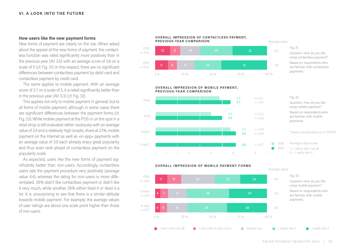## **How users like the new payment forms**

New forms of payment are clearly on the rise. When asked about the appeal of the new forms of payment, the contactless function was rated significantly more positively than in the previous year (AV 3.5) with an average score of 3.8 on a scale of 5 (cf. Fig. 31). In this respect, there are no significant differences between contactless payment by debit card and contactless payment by credit card.

The same applies to mobile payment. With an average score of 3.7 on a scale of 5, it is rated significantly better than in the previous year (AV 3.3) (cf. Fig. 32).

This applies not only to mobile payment in general, but to all forms of mobile payment, although in some cases there are significant differences between the payment forms (cf. Fig. 33). While mobile payment at the POS or on the spot in a retail shop is still evaluated rather cautiously with an average value of 3.4 and a relatively high sceptic share at 23%, mobile payment on the Internet as well as «in-app» payments with an average value of 3.9 each already enjoy great popularity and thus even rank ahead of contactless payment on the popularity scale.

As expected, users like the new forms of payment significantly better than non-users. Accordingly, contactless users rate the payment procedure very positively (average value 4.4), whereas the rating for non-users is more differentiated: 39% didn't like contactless payment or didn't like it very much, while another 39% either liked it or liked it a lot. It is unsurprising to see that there is a similar attitude towards mobile payment: For example, the average values of user ratings are about one scale point higher than those of non-users.

### **OVERALL IMPRESSION OF CONTACTLESS PAYMENT, PREVIOUS-YEAR COMPARISON**



## **OVERALL IMPRESSION OF MOBILE PAYMENT. PREVIOUS-YEAR COMPARISON**



Fig. 31 *Question: How do you like using contactless payment?*  Based on respondents who are familiar with contactless payments

Fig. 32 *Question: How do you like using mobile payment?*  Based on respondents who are familiar with mobile payments

## \*newly incorporated as of SPM19

Average value scale:  $1 = 1$  don't like it at all  $5 = 1$  really like it



## SWISS PAYMENT MONITOR 2019 | 35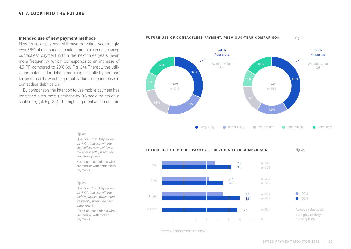## **Intended use of new payment methods**

New forms of payment still have potential. Accordingly, over 58% of respondents could in principle imagine using contactless payment within the next three years (even more frequently), which corresponds to an increase of 4.5 PP compared to 2018 (cf. Fig. 34). Thereby, the utilization potential for debit cards is significantly higher than for credit cards, which is probably due to the increase in contactless debit cards.

By comparison, the intention to use mobile payment has increased even more (increase by 0.6 scale points on a scale of 5) (cf. Fig. 35). The highest potential comes from



### **FUTURE USE OF CONTACTLESS PAYMENT, PREVIOUS-YEAR COMPARISON** Fig. 34

Fig. 35 **FUTURE USE OF MOBILE PAYMENT, PREVIOUS-YEAR COMPARISON** 2.9 n=549 Total 3.5 n=768 2.7 n=452 POS 3.2 n=515 3.2 2018 n=362 Online 3.8 n=459  $\bullet$ 2019 Average value scale: In app<sup>\*</sup> 3.7 n=601  $1 =$  highly unlikely  $5 =$  very likely 1 | 2 | 3 | 4 | 5

\*newly incorporated as of SPM19

Fig. 34 *Question: How likely do you* 

*think it is that you will use contactless payment (even more frequently) within the next three years?*

Based on respondents who are familiar with contactless payments

## Fig. 35

*Question: How likely do you think it is that you will use mobile payment (even more frequently) within the next three years?* Based on respondents who are familiar with mobile

payments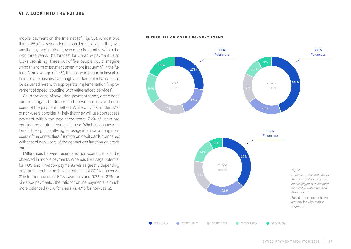mobile payment on the Internet (cf. Fig. 36). Almost two **FUTURE USE OF MOBILE PAYMENT FORMS** thirds (65%) of respondents consider it likely that they will use the payment method (even more frequently) within the next three years. The forecast for «in-app» payments also looks promising. Three out of five people could imagine using this form of payment (even more frequently) in the future. At an average of 44%, the usage intention is lowest in face-to-face business, although a certain potential can also be assumed here with appropriate implementation (improvement of speed, coupling with value-added services).

As in the case of favouring payment forms, differences can once again be determined between users and nonusers of the payment method. While only just under 37% of non-users consider it likely that they will use contactless payment within the next three years, 76% of users are considering a future increase in use. What is conspicuous here is the significantly higher usage intention among nonusers of the contactless function on debit cards compared with that of non-users of the contactless function on credit cards.

Differences between users and non-users can also be observed in mobile payments. Whereas the usage potential for POS and «in-app» payments varies greatly depending on group membership (usage potential of 77% for users vs. 21% for non-users for POS payments and 67% vs. 27% for «in-app» payments), the ratio for online payments is much more balanced (76% for users vs. 47% for non-users).

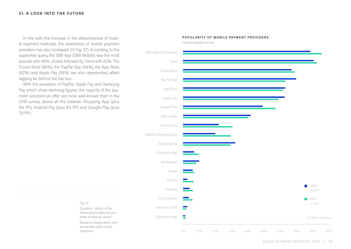## **VI. A LOOK INTO THE FUTURE**

In line with the increase in the attractiveness of mobile payment methods, the awareness of mobile payment providers has also increased (cf. Fig. 37). According to the supported query, the SBB App (SBB Mobile) was the most popular with 86%, closely followed by Twint with 83%. The iTunes Store (69%), the PayPal App (64%), the App Store (62%) and Apple Pay (59%) are also represented, albeit lagging far behind the top two.

With the exception of PayPal, Apple Pay and Samsung Pay which show declining figures, the majority of the payment solutions on offer are more well-known than in the 2018 survey, above all the Zalando Shopping App (plus 9.6 PP), Android Pay (plus 8.5 PP) and Google Play (plus 7.9 PP).

Fig. 37

payments

*Question: Which of the following providers do you know at least by name?*  Based on respondents who are familiar with mobile



**POPUL ARIT Y OF MOBILE PAYMENT PROVIDERS**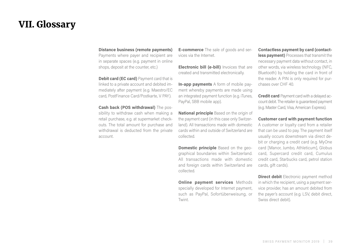## <span id="page-38-0"></span>VII. Glossary

## **Distance business (remote payments)**

Payments where payer and recipient are in separate spaces (e.g. payment in online shops, deposit at the counter, etc.)

**Debit card (EC card)** Payment card that is linked to a private account and debited immediately after payment (e.g. Maestro/EC card, PostFinance Card/Postkarte, V PAY).

**Cash back (POS withdrawal)** The possibility to withdraw cash when making a retail purchase, e.g. at supermarket checkouts. The total amount for purchase and withdrawal is deducted from the private account.

**E-commerce** The sale of goods and services via the Internet.

**Electronic bill (e-bill)** Invoices that are created and transmitted electronically.

**In-app payments** A form of mobile payment whereby payments are made using an integrated payment function (e.g. iTunes, PayPal, SBB mobile app).

**National principle** Based on the origin of the payment card (in this case only Switzerland). All transactions made with domestic cards within and outside of Switzerland are collected.

**Domestic principle** Based on the geographical boundaries within Switzerland. All transactions made with domestic and foreign cards within Switzerland are collected.

**Online payment services** Methods specially developed for Internet payment, such as PayPal, Sofortüberweisung, or Twint.

**Contactless payment by card (contactless payment)** Processes that transmit the necessary payment data without contact, in other words, via wireless technology (NFC, Bluetooth) by holding the card in front of the reader. A PIN is only required for purchases over CHF 40.

**Credit card** Payment card with a delayed account debit. The retailer is guaranteed payment (e.g. Master Card, Visa, American Express).

**Customer card with payment function**  A customer or loyalty card from a retailer that can be used to pay. The payment itself usually occurs downstream via direct debit or charging a credit card (e.g. MyOne card [Manor, Jumbo, Athleticum], Globus card, Supercard credit card, Cumulus credit card, Starbucks card, petrol station cards, gift cards).

**Direct debit** Electronic payment method in which the recipient, using a payment service provider, has an amount debited from the payer's account (e.g. LSV, debit direct, Swiss direct debit).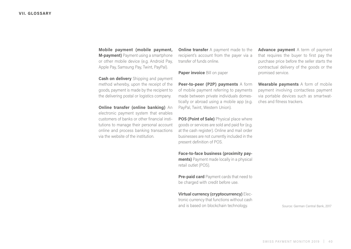**Mobile payment (mobile payment, M-payment)** Payment using a smartphone or other mobile device (e.g. Android Pay, Apple Pay, Samsung Pay, Twint, PayPal).

**Cash on delivery** Shipping and payment method whereby, upon the receipt of the goods, payment is made by the recipient to the delivering postal or logistics company.

**Online transfer (online banking)** An electronic payment system that enables customers of banks or other financial institutions to manage their personal account online and process banking transactions via the website of the institution.

**Online transfer** A payment made to the recipient's account from the payer via a transfer of funds online.

**Paper invoice** Bill on paper

**Peer-to-peer (P2P) payments** A form of mobile payment referring to payments made between private individuals domestically or abroad using a mobile app (e.g. PayPal, Twint, Western Union).

**POS (Point of Sale)** Physical place where goods or services are sold and paid for (e.g. at the cash register). Online and mail order businesses are not currently included in the present definition of POS.

**Face-to-face business (proximity payments)** Payment made locally in a physical retail outlet (POS).

**Pre-paid card** Payment cards that need to be charged with credit before use.

**Virtual currency (cryptocurrency)** Electronic currency that functions without cash and is based on blockchain technology.

**Advance payment** A term of payment that requires the buyer to first pay the purchase price before the seller starts the contractual delivery of the goods or the promised service.

**Wearable payments** A form of mobile payment involving contactless payment via portable devices such as smartwatches and fitness trackers.

Source: German Central Bank, 2017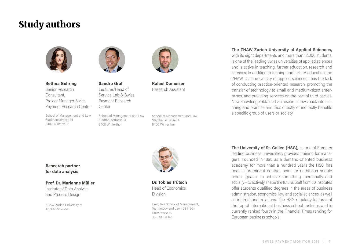## Study authors



**Bettina Gehring** Senior Research

Consultant, Project Manager Swiss Payment Research Center

School of Management and Law Stadthausstrasse 14 8400 Winterthur



**Sandro Graf** Lecturer/Head of Service Lab & Swiss Payment Research Center

School of Management and Law Stadthausstrasse 14 8400 Winterthur



**Rafael Domeisen** Research Assistant

School of Management and Law Stadthausstrasse 14 8400 Winterthur



**Dr. Tobias Trütsch** Head of Economics Division

Executive School of Management, Technology and Law (ES-HSG) Holzstrasse 15 9010 St. Gallen

**The ZHAW Zurich University of Applied Sciences,**

with its eight departments and more than 12,000 students, is one of the leading Swiss universities of applied sciences and is active in teaching, further education, research and services. In addition to training and further education, the ZHAW—as a university of applied sciences—has the task of conducting practice-oriented research, promoting the transfer of technology to small and medium-sized enterprises, and providing services on the part of third parties. New knowledge obtained via research flows back into teaching and practice and thus directly or indirectly benefits a specific group of users or society.

**The University of St. Gallen (HSG),** as one of Europe's leading business universities, provides training for managers. Founded in 1898 as a demand-oriented business academy, for more than a hundred years the HSG has been a prominent contact point for ambitious people whose goal is to achieve something—personally and socially—to actively shape the future. Staff from 30 institutes offer students qualified degrees in the areas of business administration, economics, law and social sciences, as well as international relations. The HSG regularly features at the top of international business school rankings and is currently ranked fourth in the Financial Times ranking for European business schools.

## **Research partner for data analysis**

## **Prof. Dr. Marianne Müller**

Institute of Data Analysis and Process Design

ZHAW Zurich University of Applied Sciences